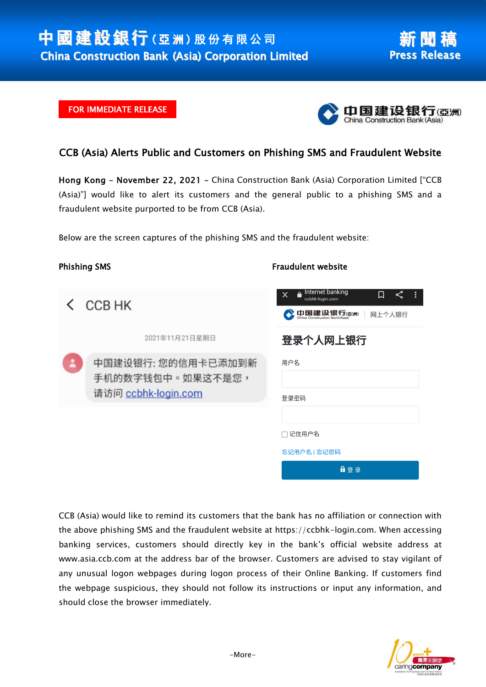## FOR IMMEDIATE RELEASE



## CCB (Asia) Alerts Public and Customers on Phishing SMS and Fraudulent Website

Hong Kong – November 22, 2021 – China Construction Bank (Asia) Corporation Limited ["CCB (Asia)"] would like to alert its customers and the general public to a phishing SMS and a fraudulent website purported to be from CCB (Asia).

Below are the screen captures of the phishing SMS and the fraudulent website:

| <b>Phishing SMS</b> |                                                               | <b>Fraudulent website</b>                                                   |
|---------------------|---------------------------------------------------------------|-----------------------------------------------------------------------------|
|                     | < CCB HK                                                      | Internet banking<br>≺°<br>口<br>×<br>ccbhk-login.com<br>中国建设银行(亞洲)<br>网上个人银行 |
|                     | 2021年11月21日星期日                                                | 登录个人网上银行                                                                    |
|                     | 中国建设银行: 您的信用卡已添加到新<br>手机的数字钱包中。如果这不是您,<br>请访问 ccbhk-login.com | 用户名                                                                         |
|                     |                                                               | 登录密码                                                                        |
|                     |                                                               | □ 记住用户名                                                                     |
|                     |                                                               | 忘记用户名   忘记密码                                                                |
|                     |                                                               | 自登录                                                                         |

CCB (Asia) would like to remind its customers that the bank has no affiliation or connection with the above phishing SMS and the fraudulent website at https://ccbhk-login.com. When accessing banking services, customers should directly key in the bank's official website address at www.asia.ccb.com at the address bar of the browser. Customers are advised to stay vigilant of any unusual logon webpages during logon process of their Online Banking. If customers find the webpage suspicious, they should not follow its instructions or input any information, and should close the browser immediately.